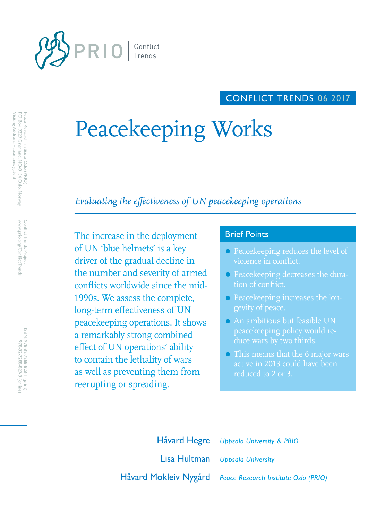

## CONFLICT TRENDS 06 2017

# Peacekeeping Works

# *Evaluating the effectiveness of UN peacekeeping operations*

The increase in the deployment Brief Points of UN 'blue helmets' is a key driver of the gradual decline in the number and severity of armed conflicts worldwide since the mid-1990s. We assess the complete, long-term effectiveness of UN peacekeeping operations. It shows a remarkably strong combined effect of UN operations' ability to contain the lethality of wars as well as preventing them from reerupting or spreading.

- Peacekeeping reduces the level of violence in conflict.
- Peacekeeping decreases the duration of conflict.
- Peacekeeping increases the longevity of peace.
- An ambitious but feasible UN peacekeeping policy would re-
- **•** This means that the 6 major wars active in 2013 could have been reduced to 2 or 3.

Lisa Hultman *Uppsala University* Håvard Mokleiv Nygård *Peace Research Institute Oslo (PRIO)* Håvard Hegre *Uppsala University & PRIO*

Peace Research Institute Oslo (PRIO)<br>PO Box 9229 Grønland, NO-0134 Oslo, Norway<br>Visiting Address: Hausmanns gate 3 Visiting Address: Hausmanns gate 3 PO Box 9229 Grønland, NO-0134 Oslo, Norway Peace Research Institute Oslo (PRIO)

> www.prio.org/ConflictTrends Conflict Trends Project www.prio.org/ConflictTrends Conflict Trends Project

ISBN: 978-82-7288-828-I (print) 978-82-7288-829-8 (online) 978-82-7288-829-8 (online) 978-82-7288-828-1 (print)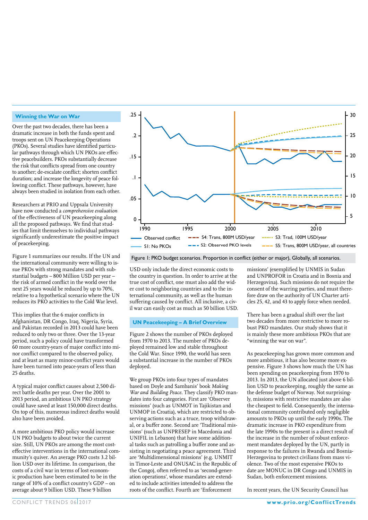#### **Winning the War on War**

Over the past two decades, there has been a dramatic increase in both the funds spent and troops sent on UN Peacekeeping Operations (PKOs). Several studies have identified particular pathways through which UN PKOs are effective peacebuilders. PKOs substantially decrease the risk that conflicts spread from one country to another; de-escalate conflict; shorten conflict duration; and increase the longevity of peace following conflict. These pathways, however, have always been studied in isolation from each other.

Researchers at PRIO and Uppsala University have now conducted a *comprehensive evaluation* of the effectiveness of UN peacekeeping along all the proposed pathways. We find that studies that limit themselves to individual pathways significantly underestimate the positive impact of peacekeeping.

Figure 1 summarizes our results. If the UN and the international community were willing to issue PKOs with strong mandates and with substantial budgets – 800 Million USD per year – the risk of armed conflict in the world over the next 25 years would be reduced by up to 70%, relative to a hypothetical scenario where the UN reduces its PKO activities to the Cold War level.

This implies that the 6 major conflicts in Afghanistan, DR Congo, Iraq, Nigeria, Syria, and Pakistan recorded in 2013 could have been reduced to only two or three. Over the 13-year period, such a policy could have transformed 60 more country-years of major conflict into minor conflict compared to the observed policy, and at least as many minor-conflict years would have been turned into peace-years of less than 25 deaths.

A typical major conflict causes about 2,500 direct battle deaths per year. Over the 2001 to 2013 period, an ambitious UN PKO strategy could have saved at least 150,000 direct deaths. On top of this, numerous indirect deaths would also have been avoided.

A more ambitious PKO policy would increase UN PKO budgets to about twice the current size. Still, UN PKOs are among the most costeffective interventions in the international community's quiver. An average PKO costs 3.2 billion USD over its lifetime. In comparison, the costs of a civil war in terms of lost economic production have been estimated to be in the range of 10% of a conflict country's GDP – on average about 9 billion USD. These 9 billion



Figure 1: PKO budget scenarios. Proportion in conflict (either or major), Globally, all scenarios.

USD only include the direct economic costs to the country in question. In order to arrive at the true cost of conflict, one must also add the wider cost to neighboring countries and to the international community, as well as the human suffering caused by conflict. All inclusive, a civil war can easily cost as much as 50 billion USD.

#### **UN Peacekeeping – A Brief Overview**

Figure 2 shows the number of PKOs deployed from 1970 to 2013. The number of PKOs deployed remained low and stable throughout the Cold War. Since 1990, the world has seen a substantial increase in the number of PKOs deployed.

We group PKOs into four types of mandates based on Doyle and Sambanis' book *Making War and Building Peace*. They classify PKO mandates into four categories. First are 'Observer missions' (such as UNMOT in Tajikistan and UNMOP in Croatia), which are restricted to observing actions such as a truce, troop withdrawal, or a buffer zone. Second are 'Traditional missions' (such as UNPRESEP in Macedonia and UNIFIL in Lebanon) that have some additional tasks such as patrolling a buffer zone and assisting in negotiating a peace agreement. Third are 'Multidimensional missions' (e.g. UNMIT in Timor-Leste and ONUSAC in the Republic of the Congo), often referred to as 'second-generation operations', whose mandates are extended to include activities intended to address the roots of the conflict. Fourth are 'Enforcement

missions' (exemplified by UNMIS in Sudan and UNPROFOR in Croatia and in Bosnia and Herzegovina). Such missions do not require the consent of the warring parties, and must therefore draw on the authority of UN Charter articles 25, 42, and 43 to apply force when needed.

There has been a gradual shift over the last two decades from more restrictive to more robust PKO mandates. Our study shows that it is mainly these more ambitious PKOs that are "winning the war on war".

As peacekeeping has grown more common and more ambitious, it has also become more expensive. Figure 3 shows how much the UN has been spending on peacekeeping from 1970 to 2013. In 2013, the UN allocated just above 6 billion USD to peacekeeping, roughly the same as the defense budget of Norway. Not surprisingly, missions with restrictive mandates are also the cheapest to field. Consequently, the international community contributed only negligible amounts to PKOs up until the early 1990s. The dramatic increase in PKO expenditure from the late 1990s to the present is a direct result of the increase in the number of robust enforcement mandates deployed by the UN, partly in response to the failures in Rwanda and Bosnia-Herzegovina to protect civilians from mass violence. Two of the most expensive PKOs to date are MONUC in DR Congo and UNMIS in Sudan, both enforcement missions.

In recent years, the UN Security Council has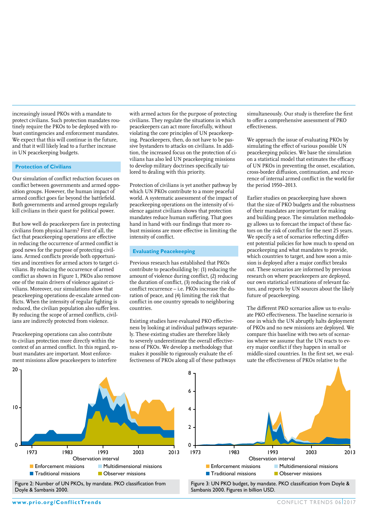increasingly issued PKOs with a mandate to protect civilians. Such protection mandates routinely require the PKOs to be deployed with robust contingencies and enforcement mandates. We expect that this will continue in the future, and that it will likely lead to a further increase in UN peacekeeping budgets.

#### **Protection of Civilians**

Our simulation of conflict reduction focuses on conflict between governments and armed opposition groups. However, the human impact of armed conflict goes far beyond the battlefield. Both governments and armed groups regularly kill civilians in their quest for political power.

But how well do peacekeepers fare in protecting civilians from physical harm? First of all, the fact that peacekeeping operations are effective in reducing the occurrence of armed conflict is good news for the purpose of protecting civilians. Armed conflicts provide both opportunities and incentives for armed actors to target civilians. By reducing the occurrence of armed conflict as shown in Figure 1, PKOs also remove one of the main drivers of violence against civilians. Moreover, our simulations show that peacekeeping operations de-escalate armed conflicts. When the intensity of regular fighting is reduced, the civilian population also suffer less. By reducing the scope of armed conflicts, civilians are indirectly protected from violence.

Peacekeeping operations can also contribute to civilian protection more directly within the context of an armed conflict. In this regard, robust mandates are important. Most enforcement missions allow peacekeepers to interfere

with armed actors for the purpose of protecting civilians. They regulate the situations in which peacekeepers can act more forcefully, without violating the core principles of UN peacekeeping. Peacekeepers, then, do not have to be passive bystanders to attacks on civilians. In addition, the increased focus on the protection of civilians has also led UN peacekeeping missions to develop military doctrines specifically tailored to dealing with this priority.

Protection of civilians is yet another pathway by which UN PKOs contribute to a more peaceful world. A systematic assessment of the impact of peacekeeping operations on the intensity of violence against civilians shows that protection mandates reduce human suffering. That goes hand in hand with our findings that more robust missions are more effective in limiting the intensity of conflict.

#### **Evaluating Peacekeeping**

Previous research has established that PKOs contribute to peacebuilding by: (1) reducing the amount of violence during conflict, (2) reducing the duration of conflict, (3) reducing the risk of conflict recurrence – i.e. PKOs increase the duration of peace, and (4) limiting the risk that conflict in one country spreads to neighboring countries.

Existing studies have evaluated PKO effectiveness by looking at individual pathways separately. These existing studies are therefore likely to severely underestimate the overall effectiveness of PKOs. We develop a methodology that makes it possible to rigorously evaluate the effectiveness of PKOs along all of these pathways

simultaneously. Our study is therefore the first to offer a comprehensive assessment of PKO effectiveness.

We approach the issue of evaluating PKOs by simulating the effect of various possible UN peacekeeping policies. We base the simulation on a statistical model that estimates the efficacy of UN PKOs in preventing the onset, escalation, cross-border diffusion, continuation, and recurrence of internal armed conflict in the world for the period 1950–2013.

Earlier studies on peacekeeping have shown that the size of PKO budgets and the robustness of their mandates are important for making and building peace. The simulation methodology allows us to forecast the impact of these factors on the risk of conflict for the next 25 years. We specify a set of scenarios reflecting different potential policies for how much to spend on peacekeeping and what mandates to provide, which countries to target, and how soon a mission is deployed after a major conflict breaks out. These scenarios are informed by previous research on where peacekeepers are deployed, our own statistical estimations of relevant factors, and reports by UN sources about the likely future of peacekeeping.

The different PKO scenarios allow us to evaluate PKO effectiveness. The baseline scenario is one in which the UN abruptly halts deployment of PKOs and no new missions are deployed. We compare this baseline with two sets of scenarios where we assume that the UN reacts to every major conflict if they happen in small or middle-sized countries. In the first set, we evaluate the effectiveness of PKOs relative to the





Sambanis 2000. Figures in billion USD.